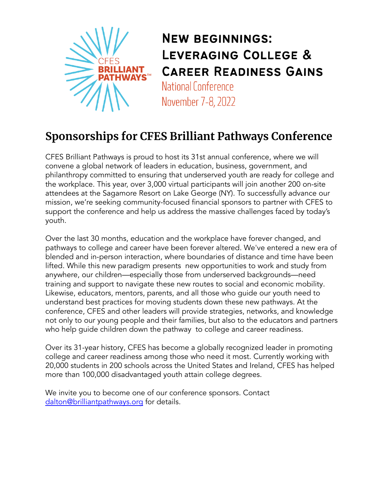

**NEW BEGINNINGS:** LEVERAGING COLLEGE & **CAREER READINESS GAINS** National Conference November 7-8, 2022

## **Sponsorships for CFES Brilliant Pathways Conference**

CFES Brilliant Pathways is proud to host its 31st annual conference, where we will convene a global network of leaders in education, business, government, and philanthropy committed to ensuring that underserved youth are ready for college and the workplace. This year, over 3,000 virtual participants will join another 200 on-site attendees at the Sagamore Resort on Lake George (NY). To successfully advance our mission, we're seeking community-focused financial sponsors to partner with CFES to support the conference and help us address the massive challenges faced by today's youth.

Over the last 30 months, education and the workplace have forever changed, and pathways to college and career have been forever altered. We've entered a new era of blended and in-person interaction, where boundaries of distance and time have been lifted. While this new paradigm presents new opportunities to work and study from anywhere, our children—especially those from underserved backgrounds—need training and support to navigate these new routes to social and economic mobility. Likewise, educators, mentors, parents, and all those who guide our youth need to understand best practices for moving students down these new pathways. At the conference, CFES and other leaders will provide strategies, networks, and knowledge not only to our young people and their families, but also to the educators and partners who help guide children down the pathway to college and career readiness.

Over its 31-year history, CFES has become a globally recognized leader in promoting college and career readiness among those who need it most. Currently working with 20,000 students in 200 schools across the United States and Ireland, CFES has helped more than 100,000 disadvantaged youth attain college degrees.

We invite you to become one of our conference sponsors. Contact dalton@brilliantpathways.org for details.